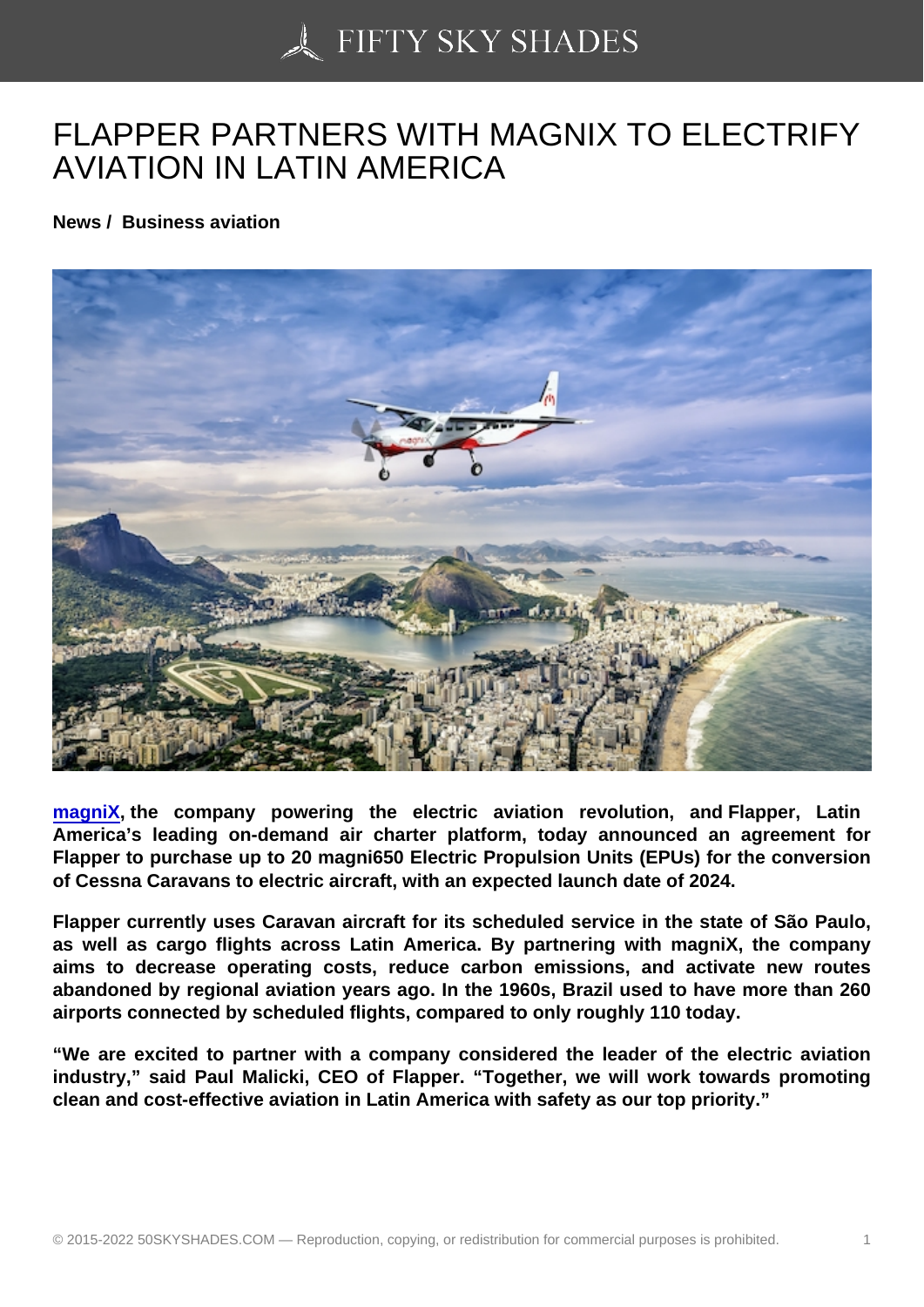## [FLAPPER PARTNERS](https://50skyshades.com) WITH MAGNIX TO ELECTRIFY AVIATION IN LATIN AMERICA

News / Business aviation

magniX , the company powering the electric aviation revolution, and Flapper, Latin America's leading on-demand air charter platform, today announced an agreement for Flapper to purchase up to 20 magni650 Electric Propulsion Units (EPUs) for the conversion [of Cessn](https://magnix.aero/)a Caravans to electric aircraft, with an expected launch date of 2024.

Flapper currently uses Caravan aircraft for its scheduled service in the state of São Paulo, as well as cargo flights across Latin America. By partnering with magniX, the company aims to decrease operating costs, reduce carbon emissions, and activate new routes abandoned by regional aviation years ago. In the 1960s, Brazil used to have more than 260 airports connected by scheduled flights, compared to only roughly 110 today.

"We are excited to partner with a company considered the leader of the electric aviation industry," said Paul Malicki, CEO of Flapper. "Together, we will work towards promoting clean and cost-effective aviation in Latin America with safety as our top priority."